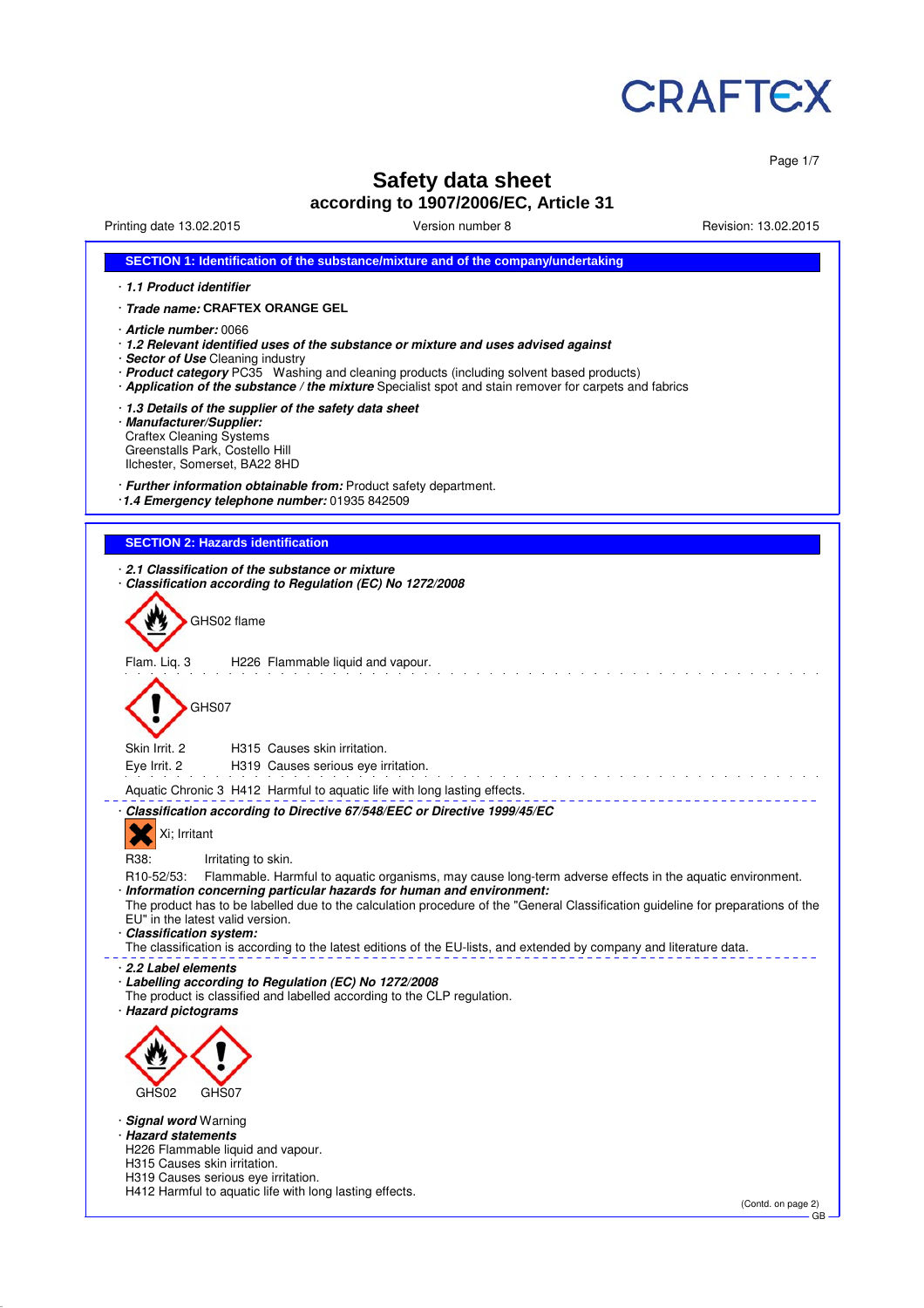

Page 1/7

# **Safety data sheet**

# **according to 1907/2006/EC, Article 31**

Printing date 13.02.2015 Version number 8 Revision: 13.02.2015

| SECTION 1: Identification of the substance/mixture and of the company/undertaking                                                                                                                                                                                                                                                                                                                                                                                                                                                                                        |
|--------------------------------------------------------------------------------------------------------------------------------------------------------------------------------------------------------------------------------------------------------------------------------------------------------------------------------------------------------------------------------------------------------------------------------------------------------------------------------------------------------------------------------------------------------------------------|
| 1.1 Product identifier                                                                                                                                                                                                                                                                                                                                                                                                                                                                                                                                                   |
| · Trade name: CRAFTEX ORANGE GEL                                                                                                                                                                                                                                                                                                                                                                                                                                                                                                                                         |
| · <b>Article number:</b> 0066<br>1.2 Relevant identified uses of the substance or mixture and uses advised against<br>· Sector of Use Cleaning industry<br>· Product category PC35 Washing and cleaning products (including solvent based products)<br>· Application of the substance / the mixture Specialist spot and stain remover for carpets and fabrics                                                                                                                                                                                                            |
| 1.3 Details of the supplier of the safety data sheet<br>· Manufacturer/Supplier:<br><b>Craftex Cleaning Systems</b><br>Greenstalls Park, Costello Hill<br>Ilchester, Somerset, BA22 8HD                                                                                                                                                                                                                                                                                                                                                                                  |
| · Further information obtainable from: Product safety department.<br>1.4 Emergency telephone number: 01935 842509                                                                                                                                                                                                                                                                                                                                                                                                                                                        |
| <b>SECTION 2: Hazards identification</b>                                                                                                                                                                                                                                                                                                                                                                                                                                                                                                                                 |
|                                                                                                                                                                                                                                                                                                                                                                                                                                                                                                                                                                          |
| 2.1 Classification of the substance or mixture<br>Classification according to Regulation (EC) No 1272/2008<br>GHS02 flame                                                                                                                                                                                                                                                                                                                                                                                                                                                |
|                                                                                                                                                                                                                                                                                                                                                                                                                                                                                                                                                                          |
| Flam. Liq. 3<br>H226 Flammable liquid and vapour.                                                                                                                                                                                                                                                                                                                                                                                                                                                                                                                        |
| GHS07                                                                                                                                                                                                                                                                                                                                                                                                                                                                                                                                                                    |
| Skin Irrit, 2<br>H315 Causes skin irritation.<br>Eye Irrit. 2<br>H319 Causes serious eye irritation.                                                                                                                                                                                                                                                                                                                                                                                                                                                                     |
| Aquatic Chronic 3 H412 Harmful to aquatic life with long lasting effects.                                                                                                                                                                                                                                                                                                                                                                                                                                                                                                |
| Classification according to Directive 67/548/EEC or Directive 1999/45/EC<br>Xi; Irritant                                                                                                                                                                                                                                                                                                                                                                                                                                                                                 |
| R38:<br>Irritating to skin.<br>Flammable. Harmful to aquatic organisms, may cause long-term adverse effects in the aquatic environment.<br>R <sub>10</sub> -52/53:<br>· Information concerning particular hazards for human and environment:<br>The product has to be labelled due to the calculation procedure of the "General Classification guideline for preparations of the<br>EU" in the latest valid version.<br>· Classification system:<br>The classification is according to the latest editions of the EU-lists, and extended by company and literature data. |
| 2.2 Label elements<br>Labelling according to Regulation (EC) No 1272/2008<br>The product is classified and labelled according to the CLP regulation.<br>· Hazard pictograms                                                                                                                                                                                                                                                                                                                                                                                              |
|                                                                                                                                                                                                                                                                                                                                                                                                                                                                                                                                                                          |
| GHS02<br>GHS07                                                                                                                                                                                                                                                                                                                                                                                                                                                                                                                                                           |
| · Signal word Warning<br>· Hazard statements<br>H226 Flammable liquid and vapour.<br>H315 Causes skin irritation.<br>H319 Causes serious eye irritation.<br>H412 Harmful to aquatic life with long lasting effects.                                                                                                                                                                                                                                                                                                                                                      |
| (Contd. on page 2)<br><b>GB</b>                                                                                                                                                                                                                                                                                                                                                                                                                                                                                                                                          |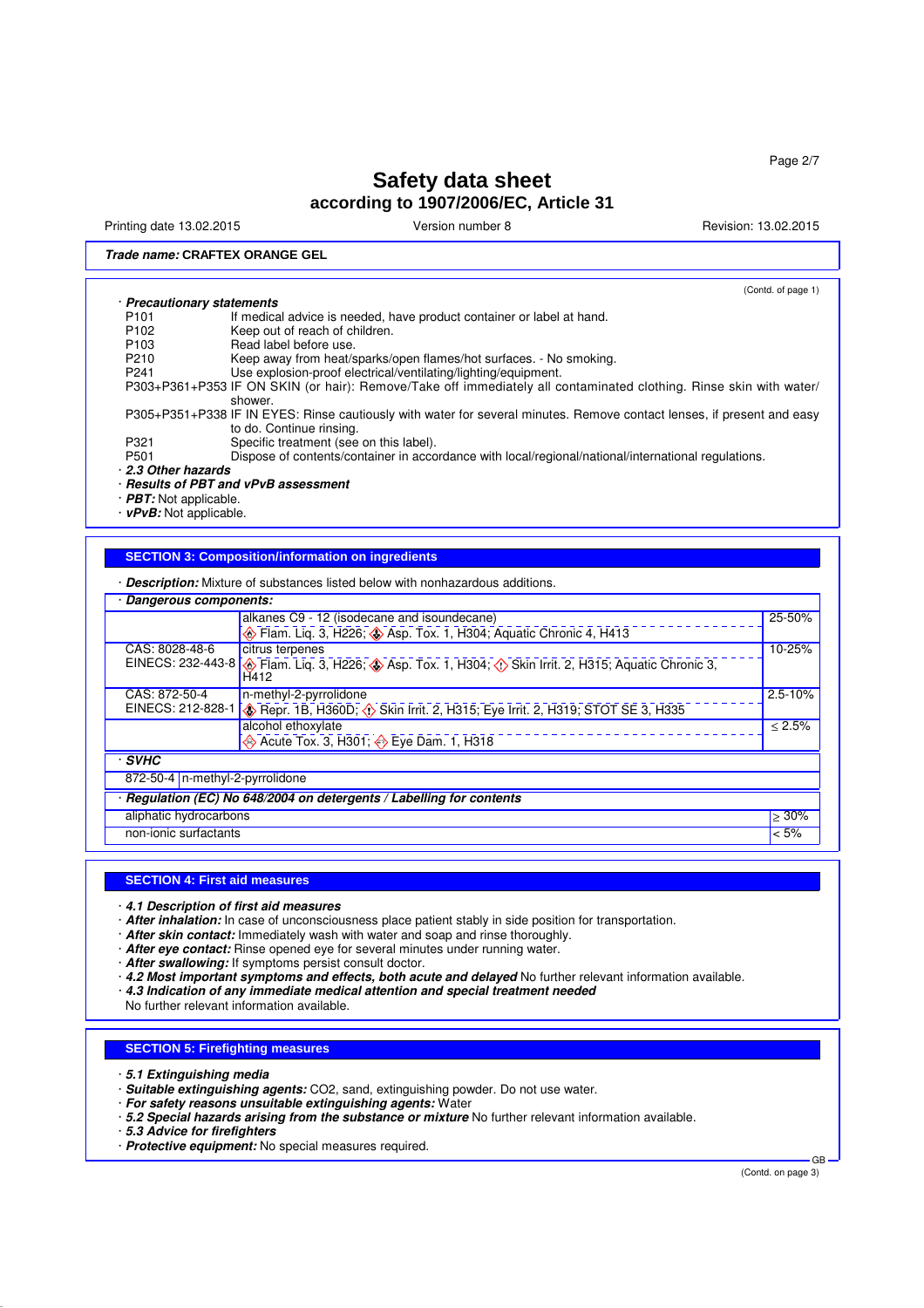Printing date 13.02.2015 **Version number 8** Revision: 13.02.2015 **Revision: 13.02.2015** 

(Contd. of page 1)

### **Trade name: CRAFTEX ORANGE GEL**

#### · **Precautionary statements**

| P <sub>101</sub>  | If medical advice is needed, have product container or label at hand.                                                  |
|-------------------|------------------------------------------------------------------------------------------------------------------------|
| P <sub>102</sub>  | Keep out of reach of children.                                                                                         |
| P <sub>103</sub>  | Read label before use.                                                                                                 |
| P210              | Keep away from heat/sparks/open flames/hot surfaces. - No smoking.                                                     |
| P <sub>241</sub>  | Use explosion-proof electrical/ventilating/lighting/equipment.                                                         |
|                   | P303+P361+P353 IF ON SKIN (or hair): Remove/Take off immediately all contaminated clothing. Rinse skin with water/     |
|                   | shower.                                                                                                                |
|                   | P305+P351+P338 IF IN EYES: Rinse cautiously with water for several minutes. Remove contact lenses, if present and easy |
|                   | to do. Continue rinsing.                                                                                               |
| P321              | Specific treatment (see on this label).                                                                                |
| P501              | Dispose of contents/container in accordance with local/regional/national/international regulations.                    |
| 2.3 Other hazards |                                                                                                                        |
|                   |                                                                                                                        |

· **Results of PBT and vPvB assessment**

· **PBT:** Not applicable.

· **vPvB:** Not applicable.

### **SECTION 3: Composition/information on ingredients**

· **Description:** Mixture of substances listed below with nonhazardous additions.

| Dangerous components:           |                                                                                                                                                      |             |
|---------------------------------|------------------------------------------------------------------------------------------------------------------------------------------------------|-------------|
|                                 | alkanes C9 - 12 (isodecane and isoundecane)                                                                                                          | 25-50%      |
|                                 | Flam. Liq. 3, H226; Sep. Tox. 1, H304; Aquatic Chronic 4, H413                                                                                       |             |
| CAS: 8028-48-6                  | citrus terpenes                                                                                                                                      | 10-25%      |
|                                 | EINECS: 232-443-8 ( $\circledast$ Flam. Liq. 3, H226; $\circledast$ Asp. Tox. 1, H304; $\circledast$ Skin Irrit. 2, H315; Aquatic Chronic 3,<br>H412 |             |
| CAS: 872-50-4                   | n-methyl-2-pyrrolidone                                                                                                                               | $2.5 - 10%$ |
| EINECS: 212-828-1               | Repr. 1B, H360D; O Skin Irrit. 2, H315; Eye Irrit. 2, H319; STOT SE 3, H335                                                                          |             |
|                                 | alcohol ethoxylate                                                                                                                                   | < 2.5%      |
|                                 | Acute Tox. 3, H301; $\leftrightarrow$ Eye Dam. 1, H318                                                                                               |             |
| · SVHC                          |                                                                                                                                                      |             |
| 872-50-4 n-methyl-2-pyrrolidone |                                                                                                                                                      |             |
|                                 | Regulation (EC) No 648/2004 on detergents / Labelling for contents                                                                                   |             |
| aliphatic hydrocarbons          |                                                                                                                                                      | $>30\%$     |
| non-ionic surfactants           |                                                                                                                                                      | < 5%        |
|                                 |                                                                                                                                                      |             |

#### **SECTION 4: First aid measures**

· **4.1 Description of first aid measures**

· **After inhalation:** In case of unconsciousness place patient stably in side position for transportation.

- · **After skin contact:** Immediately wash with water and soap and rinse thoroughly.
- · **After eye contact:** Rinse opened eye for several minutes under running water.
- · **After swallowing:** If symptoms persist consult doctor.
- · **4.2 Most important symptoms and effects, both acute and delayed** No further relevant information available.
- · **4.3 Indication of any immediate medical attention and special treatment needed**

No further relevant information available.

### **SECTION 5: Firefighting measures**

- · **5.1 Extinguishing media**
- · **Suitable extinguishing agents:** CO2, sand, extinguishing powder. Do not use water.
- · **For safety reasons unsuitable extinguishing agents:** Water
- · **5.2 Special hazards arising from the substance or mixture** No further relevant information available.
- · **5.3 Advice for firefighters**
- · **Protective equipment:** No special measures required.

(Contd. on page 3)

GB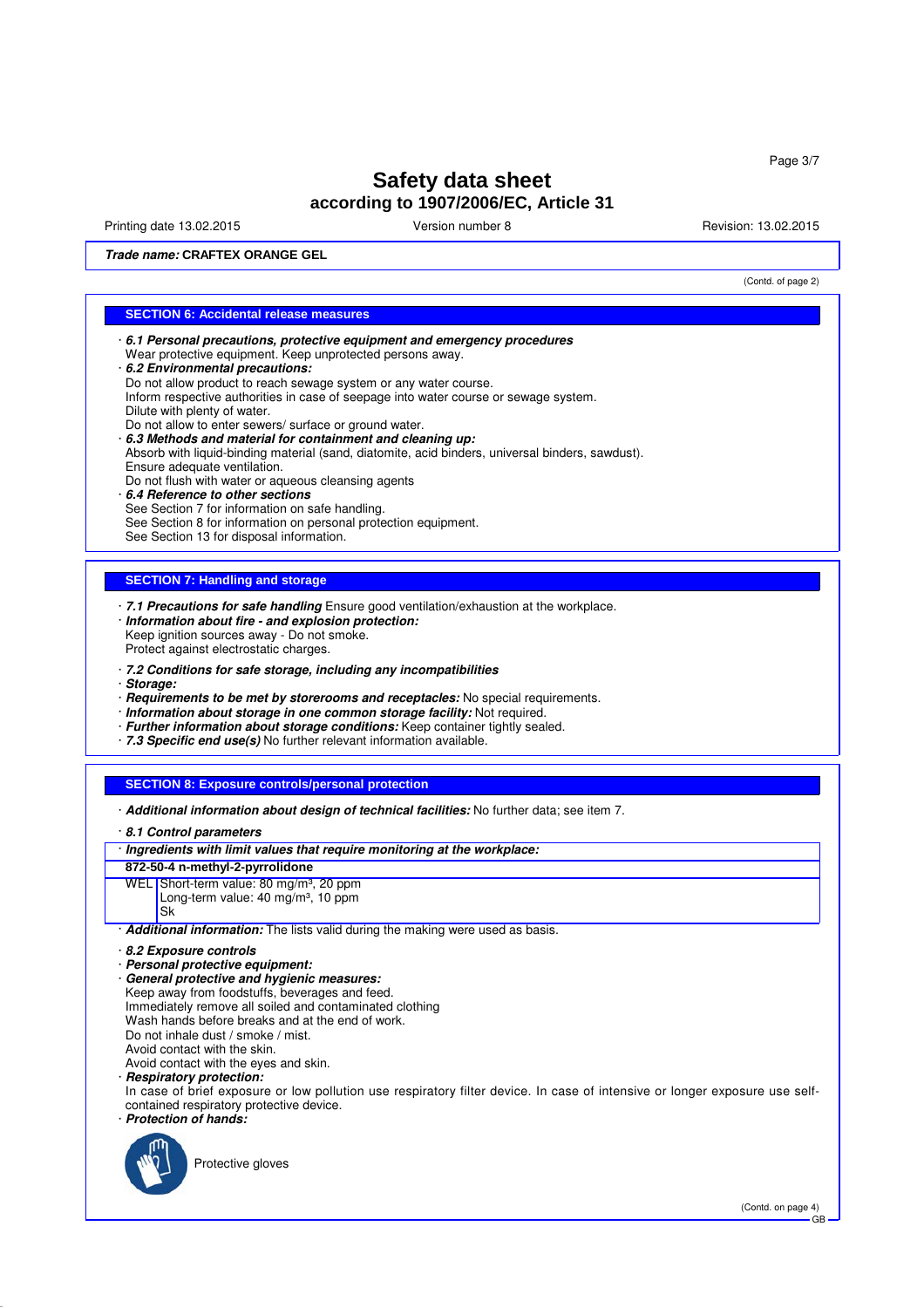Printing date 13.02.2015 Version number 8 Revision: 13.02.2015

(Contd. of page 2)

**Trade name: CRAFTEX ORANGE GEL**

### **SECTION 6: Accidental release measures**

- · **6.1 Personal precautions, protective equipment and emergency procedures** Wear protective equipment. Keep unprotected persons away. · **6.2 Environmental precautions:** Do not allow product to reach sewage system or any water course.
- Inform respective authorities in case of seepage into water course or sewage system. Dilute with plenty of water.
- Do not allow to enter sewers/ surface or ground water.
- · **6.3 Methods and material for containment and cleaning up:**
- Absorb with liquid-binding material (sand, diatomite, acid binders, universal binders, sawdust). Ensure adequate ventilation.
- Do not flush with water or aqueous cleansing agents
- · **6.4 Reference to other sections** See Section 7 for information on safe handling. See Section 8 for information on personal protection equipment. See Section 13 for disposal information.

### **SECTION 7: Handling and storage**

- · **7.1 Precautions for safe handling** Ensure good ventilation/exhaustion at the workplace. · **Information about fire - and explosion protection:** Keep ignition sources away - Do not smoke. Protect against electrostatic charges.
- · **7.2 Conditions for safe storage, including any incompatibilities**
- · **Storage:**
- · **Requirements to be met by storerooms and receptacles:** No special requirements.
- · **Information about storage in one common storage facility:** Not required.
- · **Further information about storage conditions:** Keep container tightly sealed.
- · **7.3 Specific end use(s)** No further relevant information available.

### **SECTION 8: Exposure controls/personal protection**

- · **Additional information about design of technical facilities:** No further data; see item 7.
- · **8.1 Control parameters**

#### · **Ingredients with limit values that require monitoring at the workplace:**

- **872-50-4 n-methyl-2-pyrrolidone**
- WEL Short-term value: 80 mg/m<sup>3</sup>, 20 ppm Long-term value:  $40 \text{ mg/m}^3$ , 10 ppm Sk

· **Additional information:** The lists valid during the making were used as basis.

- · **Personal protective equipment:**
- · **General protective and hygienic measures:** Keep away from foodstuffs, beverages and feed. Immediately remove all soiled and contaminated clothing Wash hands before breaks and at the end of work. Do not inhale dust / smoke / mist. Avoid contact with the skin.

Avoid contact with the eyes and skin.

### · **Respiratory protection:**

In case of brief exposure or low pollution use respiratory filter device. In case of intensive or longer exposure use selfcontained respiratory protective device.

· **Protection of hands:**



Protective gloves

<sup>·</sup> **8.2 Exposure controls**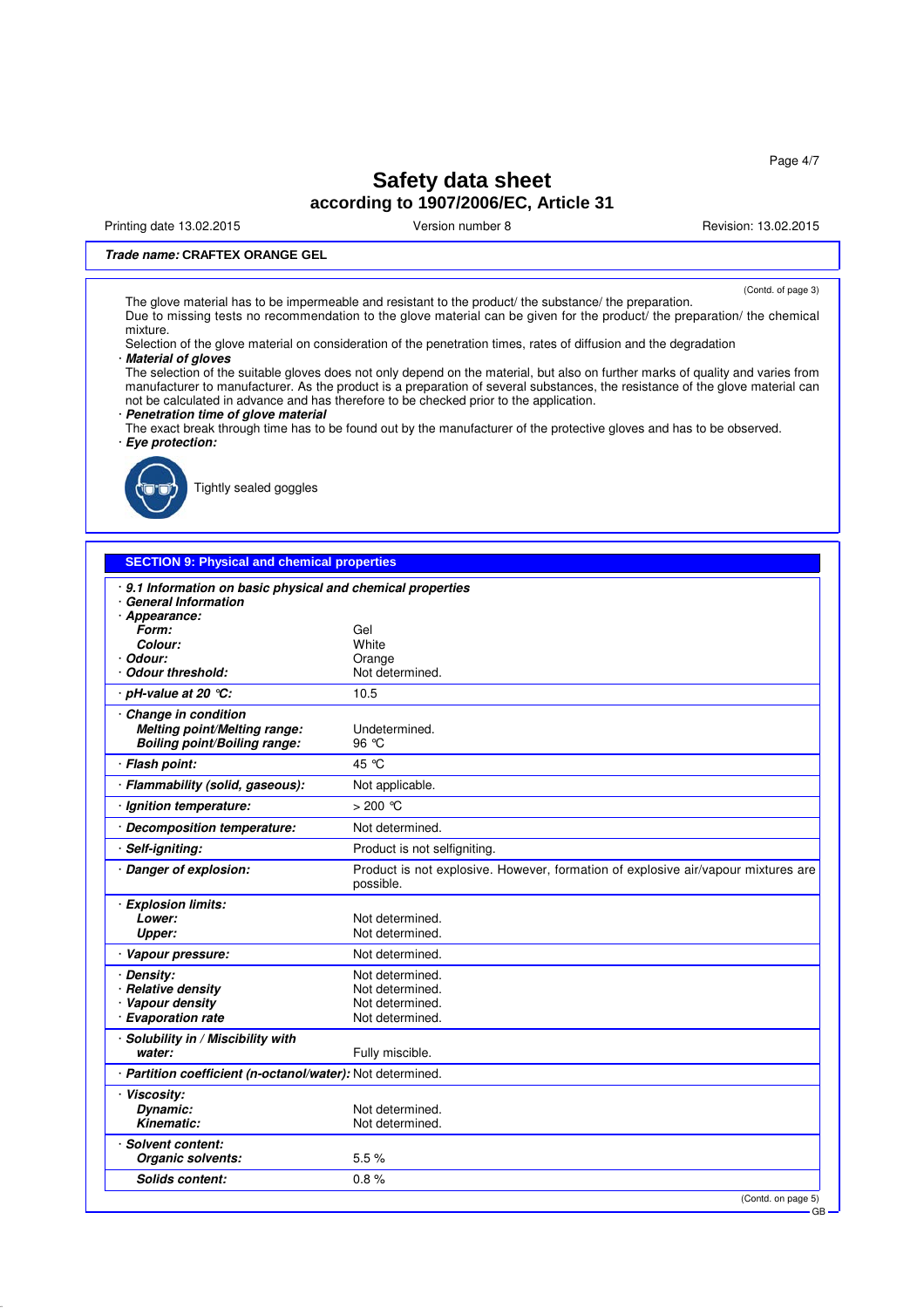Page 4/7

# **Safety data sheet according to 1907/2006/EC, Article 31**

Printing date 13.02.2015 **Version number 8** Nevision: 13.02.2015 **Revision: 13.02.2015** 

### **Trade name: CRAFTEX ORANGE GEL**

(Contd. of page 3) The glove material has to be impermeable and resistant to the product/ the substance/ the preparation. Due to missing tests no recommendation to the glove material can be given for the product/ the preparation/ the chemical mixture.

Selection of the glove material on consideration of the penetration times, rates of diffusion and the degradation · **Material of gloves**

The selection of the suitable gloves does not only depend on the material, but also on further marks of quality and varies from manufacturer to manufacturer. As the product is a preparation of several substances, the resistance of the glove material can not be calculated in advance and has therefore to be checked prior to the application.

· **Penetration time of glove material**

The exact break through time has to be found out by the manufacturer of the protective gloves and has to be observed. · **Eye protection:**



Tightly sealed goggles

| <b>SECTION 9: Physical and chemical properties</b>                                           |                                                                                                |
|----------------------------------------------------------------------------------------------|------------------------------------------------------------------------------------------------|
| · 9.1 Information on basic physical and chemical properties<br><b>General Information</b>    |                                                                                                |
| · Appearance:<br>Form:<br>Colour:<br>Odour:<br><b>Odour threshold:</b>                       | Gel<br>White<br>Orange<br>Not determined.                                                      |
| · pH-value at 20 ℃:                                                                          | 10.5                                                                                           |
| · Change in condition<br>Melting point/Melting range:<br><b>Boiling point/Boiling range:</b> | Undetermined.<br>96 °C                                                                         |
| <b>Flash point:</b>                                                                          | 45 °C                                                                                          |
| · Flammability (solid, gaseous):                                                             | Not applicable.                                                                                |
| · Ignition temperature:                                                                      | $>200$ °C                                                                                      |
| Decomposition temperature:                                                                   | Not determined.                                                                                |
| Self-igniting:                                                                               | Product is not selfigniting.                                                                   |
| · Danger of explosion:                                                                       | Product is not explosive. However, formation of explosive air/vapour mixtures are<br>possible. |
| · Explosion limits:<br>Lower:<br>Upper:                                                      | Not determined.<br>Not determined.                                                             |
| Vapour pressure:                                                                             | Not determined.                                                                                |
| · Density:<br>· Relative density<br>· Vapour density<br>· Evaporation rate                   | Not determined.<br>Not determined.<br>Not determined.<br>Not determined.                       |
| · Solubility in / Miscibility with<br>water:                                                 | Fully miscible.                                                                                |
| · Partition coefficient (n-octanol/water): Not determined.                                   |                                                                                                |
| · Viscosity:<br>Dynamic:<br>Kinematic:                                                       | Not determined.<br>Not determined.                                                             |
| · Solvent content:<br>Organic solvents:                                                      | 5.5%                                                                                           |
| <b>Solids content:</b>                                                                       | 0.8%                                                                                           |
|                                                                                              | (Contd. on page 5)<br>$-$ GR                                                                   |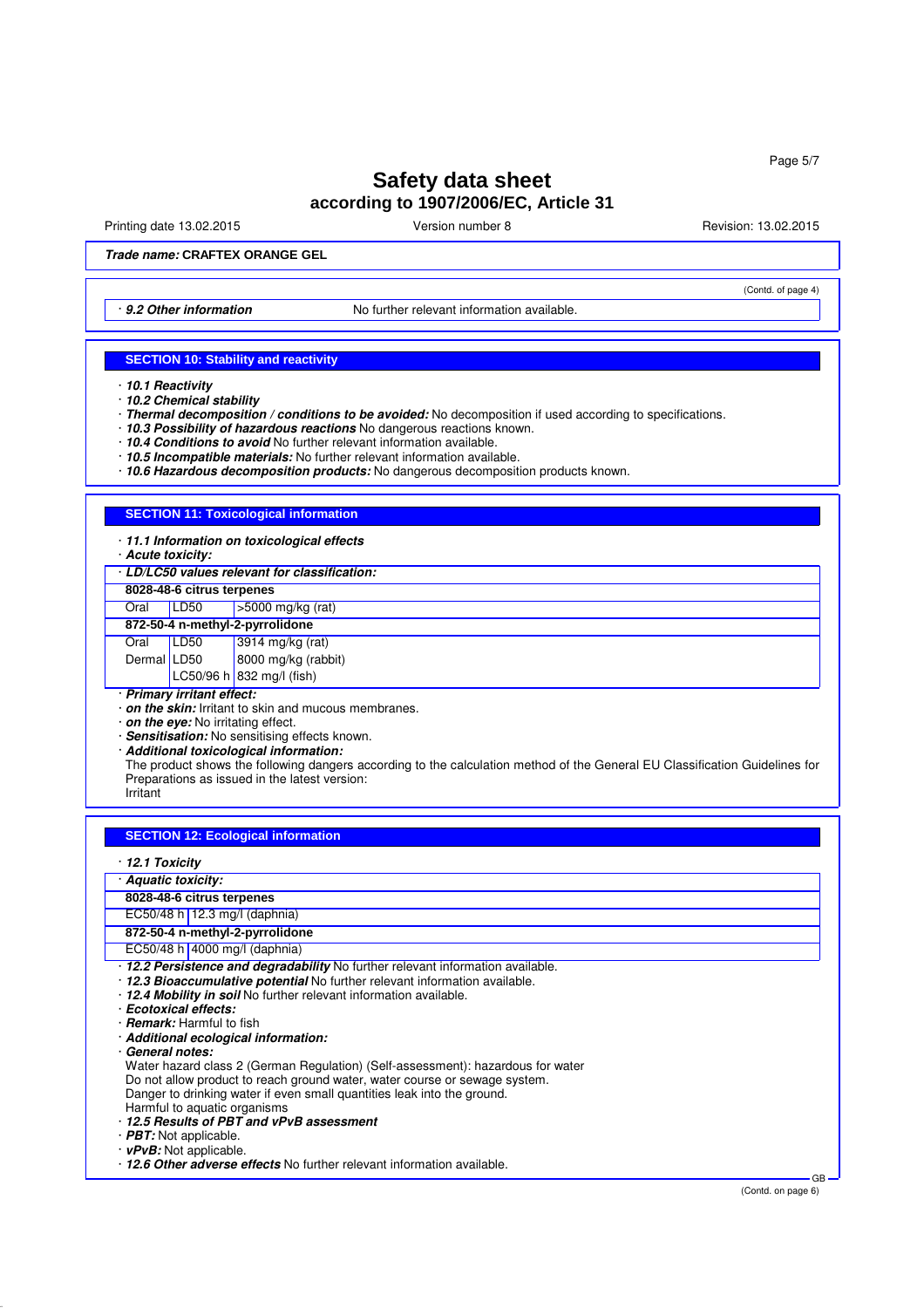Printing date 13.02.2015 Version number 8 Revision: 13.02.2015

(Contd. of page 4)

**Trade name: CRAFTEX ORANGE GEL**

· **9.2 Other information** No further relevant information available.

#### **SECTION 10: Stability and reactivity**

- · **10.2 Chemical stability**
- · **Thermal decomposition / conditions to be avoided:** No decomposition if used according to specifications.
- · **10.3 Possibility of hazardous reactions** No dangerous reactions known.
- · **10.4 Conditions to avoid** No further relevant information available.
- · **10.5 Incompatible materials:** No further relevant information available.
- · **10.6 Hazardous decomposition products:** No dangerous decomposition products known.

#### **SECTION 11: Toxicological information**

- · **11.1 Information on toxicological effects**
- · **Acute toxicity:**

· **LD/LC50 values relevant for classification:**

**8028-48-6 citrus terpenes**

| Oral                                           | LD50 | $\vert$ >5000 mg/kg (rat) |
|------------------------------------------------|------|---------------------------|
| 872-50-4 n-methyl-2-pyrrolidone                |      |                           |
| Oral                                           | LDS0 | 3914 mg/kg (rat)          |
| $D2$ $\sim$ $\sim$ $\sim$ $\sim$ $\sim$ $\sim$ |      |                           |

| Dermal LD50 | 8000 mg/kg (rabbit)       |
|-------------|---------------------------|
|             | LC50/96 h 832 mg/l (fish) |

· **Primary irritant effect:**

· **on the skin:** Irritant to skin and mucous membranes.

· **on the eye:** No irritating effect.

· **Sensitisation:** No sensitising effects known.

· **Additional toxicological information:**

The product shows the following dangers according to the calculation method of the General EU Classification Guidelines for Preparations as issued in the latest version:

Irritant

### **SECTION 12: Ecological information**

|  |  | 12.1 Toxicity |
|--|--|---------------|
|--|--|---------------|

· **Aquatic toxicity:**

- **8028-48-6 citrus terpenes**
- EC50/48 h 12.3 mg/l (daphnia)

**872-50-4 n-methyl-2-pyrrolidone**

- EC50/48 h 4000 mg/l (daphnia)
- · **12.2 Persistence and degradability** No further relevant information available.
- · **12.3 Bioaccumulative potential** No further relevant information available.
- · **12.4 Mobility in soil** No further relevant information available.
- · **Ecotoxical effects:**
- · **Remark:** Harmful to fish
- · **Additional ecological information:**
- · **General notes:**

Water hazard class 2 (German Regulation) (Self-assessment): hazardous for water

- Do not allow product to reach ground water, water course or sewage system.
- Danger to drinking water if even small quantities leak into the ground. Harmful to aquatic organisms
- · **12.5 Results of PBT and vPvB assessment**
- · **PBT:** Not applicable.
- · **vPvB:** Not applicable.

· **12.6 Other adverse effects** No further relevant information available.

GB

<sup>·</sup> **10.1 Reactivity**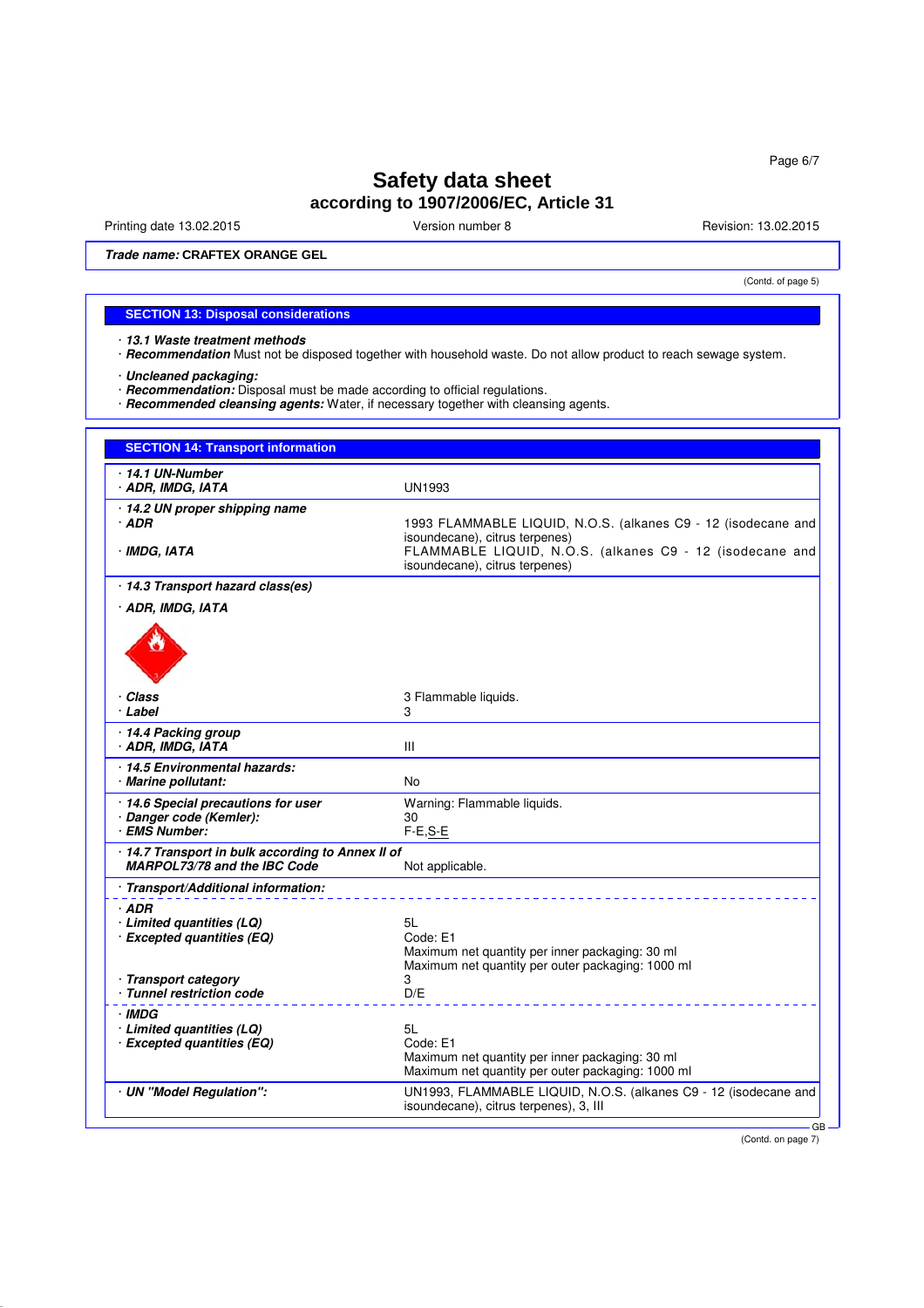Printing date 13.02.2015 **Version number 8** Revision: 13.02.2015

(Contd. of page 5)

**Trade name: CRAFTEX ORANGE GEL**

### **SECTION 13: Disposal considerations**

· **13.1 Waste treatment methods**

· **Recommendation** Must not be disposed together with household waste. Do not allow product to reach sewage system.

· **Uncleaned packaging:**

- · **Recommendation:** Disposal must be made according to official regulations.
- · **Recommended cleansing agents:** Water, if necessary together with cleansing agents.

| 14.1 UN-Number                                                                    |                                                                                                            |
|-----------------------------------------------------------------------------------|------------------------------------------------------------------------------------------------------------|
| · ADR, IMDG, IATA                                                                 | UN1993                                                                                                     |
| · 14.2 UN proper shipping name                                                    |                                                                                                            |
| · ADR                                                                             | 1993 FLAMMABLE LIQUID, N.O.S. (alkanes C9 - 12 (isodecane and                                              |
| · IMDG, IATA                                                                      | isoundecane), citrus terpenes)<br>FLAMMABLE LIQUID, N.O.S. (alkanes C9 - 12 (isodecane and                 |
|                                                                                   | isoundecane), citrus terpenes)                                                                             |
| · 14.3 Transport hazard class(es)                                                 |                                                                                                            |
| · ADR, IMDG, IATA                                                                 |                                                                                                            |
|                                                                                   |                                                                                                            |
| · Class<br>· Label                                                                | 3 Flammable liquids.<br>3                                                                                  |
| 14.4 Packing group<br>· ADR, IMDG, IATA                                           | III                                                                                                        |
| 14.5 Environmental hazards:                                                       |                                                                                                            |
| · Marine pollutant:                                                               | No                                                                                                         |
| 14.6 Special precautions for user                                                 | Warning: Flammable liquids.                                                                                |
| · Danger code (Kemler):<br>· EMS Number:                                          | 30<br>$F-E.S-E$                                                                                            |
|                                                                                   |                                                                                                            |
| · 14.7 Transport in bulk according to Annex II of<br>MARPOL73/78 and the IBC Code | Not applicable.                                                                                            |
| · Transport/Additional information:                                               |                                                                                                            |
| · ADR                                                                             |                                                                                                            |
| · Limited quantities (LQ)                                                         | 5L                                                                                                         |
| · Excepted quantities (EQ)                                                        | Code: E1                                                                                                   |
|                                                                                   | Maximum net quantity per inner packaging: 30 ml<br>Maximum net quantity per outer packaging: 1000 ml       |
| · Transport category                                                              | 3                                                                                                          |
| · Tunnel restriction code                                                         | D/E                                                                                                        |
| · IMDG                                                                            |                                                                                                            |
| $\cdot$ Limited quantities (LQ)                                                   | 5L                                                                                                         |
| · Excepted quantities (EQ)                                                        | Code: E1<br>Maximum net quantity per inner packaging: 30 ml                                                |
|                                                                                   | Maximum net quantity per outer packaging: 1000 ml                                                          |
| · UN "Model Regulation":                                                          | UN1993, FLAMMABLE LIQUID, N.O.S. (alkanes C9 - 12 (isodecane and<br>isoundecane), citrus terpenes), 3, III |